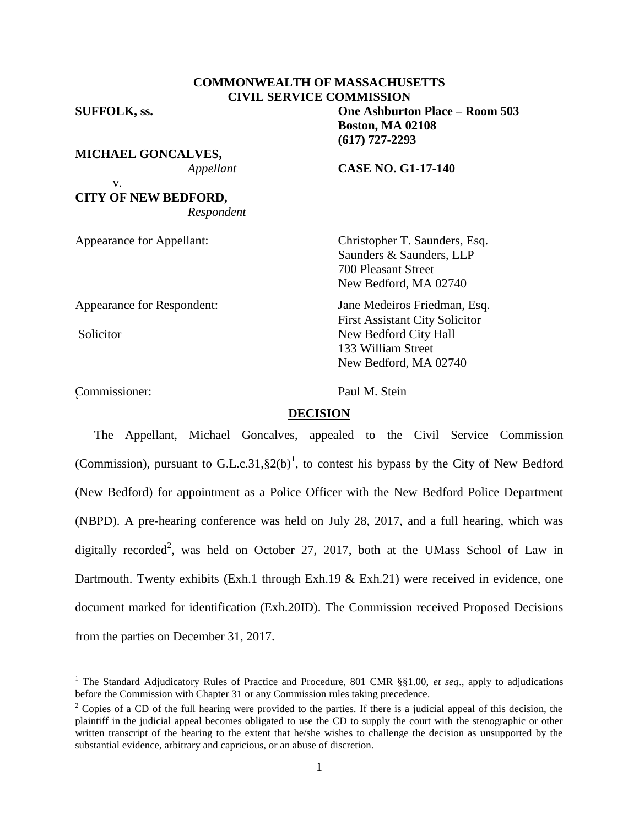# **COMMONWEALTH OF MASSACHUSETTS CIVIL SERVICE COMMISSION**

**SUFFOLK, ss. One Ashburton Place – Room 503**

v.

**MICHAEL GONCALVES,**

*Appellant* **CASE NO. G1-17-140**

**Boston, MA 02108 (617) 727-2293**

**CITY OF NEW BEDFORD,** *Respondent*

Appearance for Appellant: Christopher T. Saunders, Esq.

 $\overline{a}$ 

Commissioner: Paul M. Stein r<br>C

Saunders & Saunders, LLP 700 Pleasant Street New Bedford, MA 02740

Appearance for Respondent: Jane Medeiros Friedman, Esq. First Assistant City Solicitor Solicitor New Bedford City Hall 133 William Street New Bedford, MA 02740

### **DECISION**

The Appellant, Michael Goncalves, appealed to the Civil Service Commission (Commission), pursuant to G.L.c.31,  $\S2(b)^1$ , to contest his bypass by the City of New Bedford (New Bedford) for appointment as a Police Officer with the New Bedford Police Department (NBPD). A pre-hearing conference was held on July 28, 2017, and a full hearing, which was digitally recorded<sup>2</sup>, was held on October 27, 2017, both at the UMass School of Law in Dartmouth. Twenty exhibits (Exh.1 through Exh.19 & Exh.21) were received in evidence, one document marked for identification (Exh.20ID). The Commission received Proposed Decisions from the parties on December 31, 2017.

<sup>&</sup>lt;sup>1</sup> The Standard Adjudicatory Rules of Practice and Procedure, 801 CMR §§1.00, et seq., apply to adjudications before the Commission with Chapter 31 or any Commission rules taking precedence.

<sup>&</sup>lt;sup>2</sup> Copies of a CD of the full hearing were provided to the parties. If there is a judicial appeal of this decision, the plaintiff in the judicial appeal becomes obligated to use the CD to supply the court with the stenographic or other written transcript of the hearing to the extent that he/she wishes to challenge the decision as unsupported by the substantial evidence, arbitrary and capricious, or an abuse of discretion.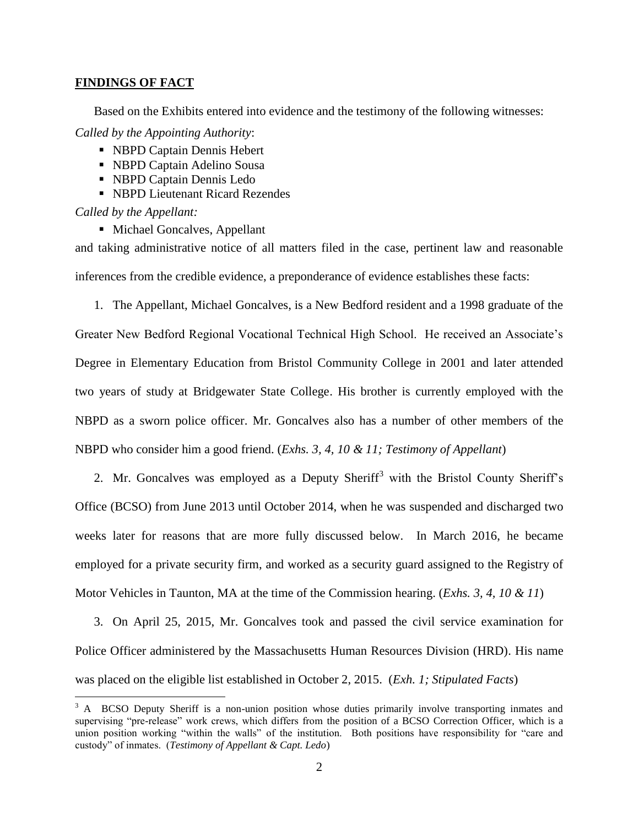#### **FINDINGS OF FACT**

Based on the Exhibits entered into evidence and the testimony of the following witnesses:

*Called by the Appointing Authority*:

- NBPD Captain Dennis Hebert
- NBPD Captain Adelino Sousa
- NBPD Captain Dennis Ledo
- NBPD Lieutenant Ricard Rezendes

*Called by the Appellant:*

 $\overline{a}$ 

■ Michael Goncalves, Appellant

and taking administrative notice of all matters filed in the case, pertinent law and reasonable inferences from the credible evidence, a preponderance of evidence establishes these facts:

1. The Appellant, Michael Goncalves, is a New Bedford resident and a 1998 graduate of the Greater New Bedford Regional Vocational Technical High School. He received an Associate's Degree in Elementary Education from Bristol Community College in 2001 and later attended two years of study at Bridgewater State College. His brother is currently employed with the NBPD as a sworn police officer. Mr. Goncalves also has a number of other members of the NBPD who consider him a good friend. (*Exhs. 3, 4, 10 & 11; Testimony of Appellant*)

2. Mr. Goncalves was employed as a Deputy Sheriff<sup>3</sup> with the Bristol County Sheriff's Office (BCSO) from June 2013 until October 2014, when he was suspended and discharged two weeks later for reasons that are more fully discussed below. In March 2016, he became employed for a private security firm, and worked as a security guard assigned to the Registry of Motor Vehicles in Taunton, MA at the time of the Commission hearing. (*Exhs. 3, 4, 10 & 11*)

3. On April 25, 2015, Mr. Goncalves took and passed the civil service examination for Police Officer administered by the Massachusetts Human Resources Division (HRD). His name was placed on the eligible list established in October 2, 2015. (*Exh. 1; Stipulated Facts*)

<sup>&</sup>lt;sup>3</sup> A BCSO Deputy Sheriff is a non-union position whose duties primarily involve transporting inmates and supervising "pre-release" work crews, which differs from the position of a BCSO Correction Officer, which is a union position working "within the walls" of the institution. Both positions have responsibility for "care and custody" of inmates. (*Testimony of Appellant & Capt. Ledo*)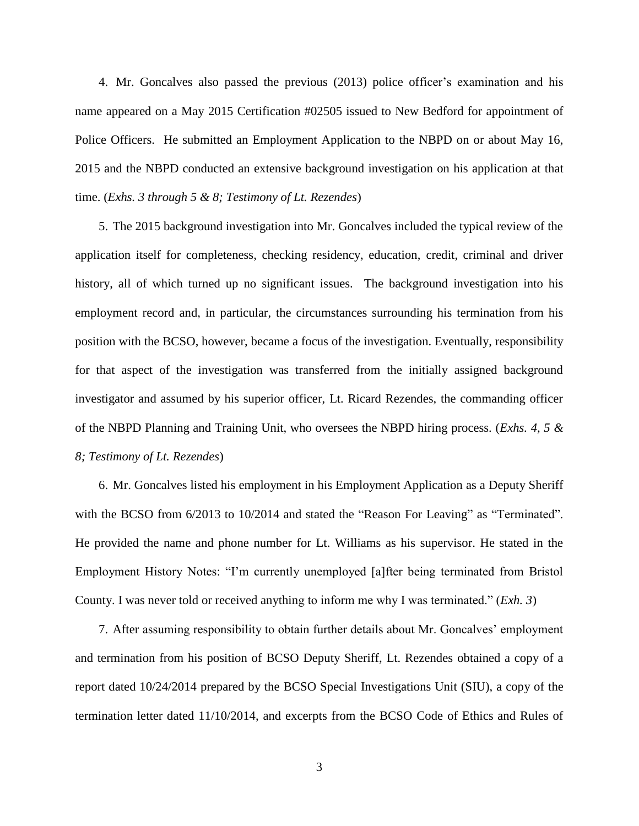4. Mr. Goncalves also passed the previous (2013) police officer's examination and his name appeared on a May 2015 Certification #02505 issued to New Bedford for appointment of Police Officers. He submitted an Employment Application to the NBPD on or about May 16, 2015 and the NBPD conducted an extensive background investigation on his application at that time. (*Exhs. 3 through 5 & 8; Testimony of Lt. Rezendes*)

5. The 2015 background investigation into Mr. Goncalves included the typical review of the application itself for completeness, checking residency, education, credit, criminal and driver history, all of which turned up no significant issues. The background investigation into his employment record and, in particular, the circumstances surrounding his termination from his position with the BCSO, however, became a focus of the investigation. Eventually, responsibility for that aspect of the investigation was transferred from the initially assigned background investigator and assumed by his superior officer, Lt. Ricard Rezendes, the commanding officer of the NBPD Planning and Training Unit, who oversees the NBPD hiring process. (*Exhs. 4, 5 & 8; Testimony of Lt. Rezendes*)

6. Mr. Goncalves listed his employment in his Employment Application as a Deputy Sheriff with the BCSO from 6/2013 to 10/2014 and stated the "Reason For Leaving" as "Terminated". He provided the name and phone number for Lt. Williams as his supervisor. He stated in the Employment History Notes: "I'm currently unemployed [a]fter being terminated from Bristol County. I was never told or received anything to inform me why I was terminated." (*Exh. 3*)

7. After assuming responsibility to obtain further details about Mr. Goncalves' employment and termination from his position of BCSO Deputy Sheriff, Lt. Rezendes obtained a copy of a report dated 10/24/2014 prepared by the BCSO Special Investigations Unit (SIU), a copy of the termination letter dated 11/10/2014, and excerpts from the BCSO Code of Ethics and Rules of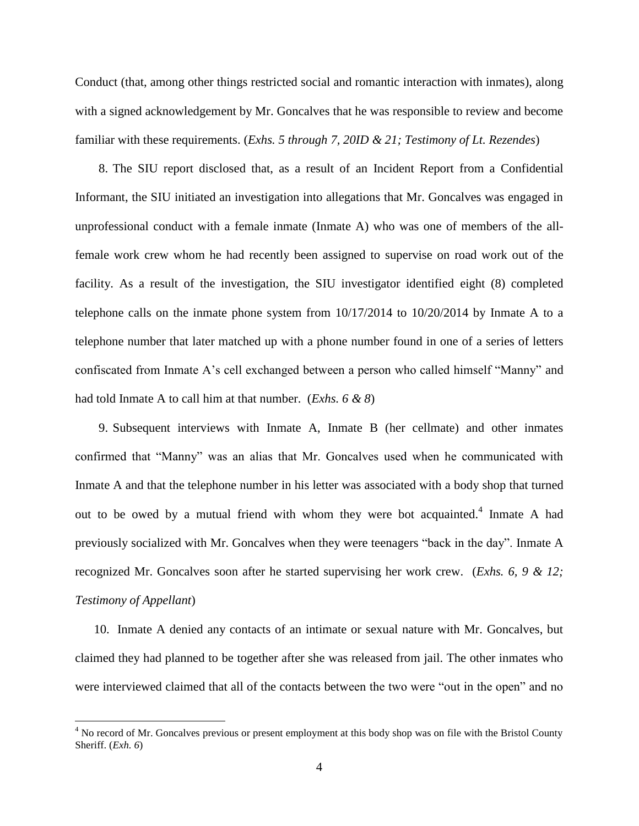Conduct (that, among other things restricted social and romantic interaction with inmates), along with a signed acknowledgement by Mr. Goncalves that he was responsible to review and become familiar with these requirements. (*Exhs. 5 through 7, 20ID & 21; Testimony of Lt. Rezendes*)

8. The SIU report disclosed that, as a result of an Incident Report from a Confidential Informant, the SIU initiated an investigation into allegations that Mr. Goncalves was engaged in unprofessional conduct with a female inmate (Inmate A) who was one of members of the allfemale work crew whom he had recently been assigned to supervise on road work out of the facility. As a result of the investigation, the SIU investigator identified eight (8) completed telephone calls on the inmate phone system from  $10/17/2014$  to  $10/20/2014$  by Inmate A to a telephone number that later matched up with a phone number found in one of a series of letters confiscated from Inmate A's cell exchanged between a person who called himself "Manny" and had told Inmate A to call him at that number. (*Exhs. 6 & 8*)

9. Subsequent interviews with Inmate A, Inmate B (her cellmate) and other inmates confirmed that "Manny" was an alias that Mr. Goncalves used when he communicated with Inmate A and that the telephone number in his letter was associated with a body shop that turned out to be owed by a mutual friend with whom they were bot acquainted.<sup>4</sup> Inmate A had previously socialized with Mr. Goncalves when they were teenagers "back in the day". Inmate A recognized Mr. Goncalves soon after he started supervising her work crew. (*Exhs. 6, 9 & 12; Testimony of Appellant*)

10. Inmate A denied any contacts of an intimate or sexual nature with Mr. Goncalves, but claimed they had planned to be together after she was released from jail. The other inmates who were interviewed claimed that all of the contacts between the two were "out in the open" and no

<sup>&</sup>lt;sup>4</sup> No record of Mr. Goncalves previous or present employment at this body shop was on file with the Bristol County Sheriff. (*Exh. 6*)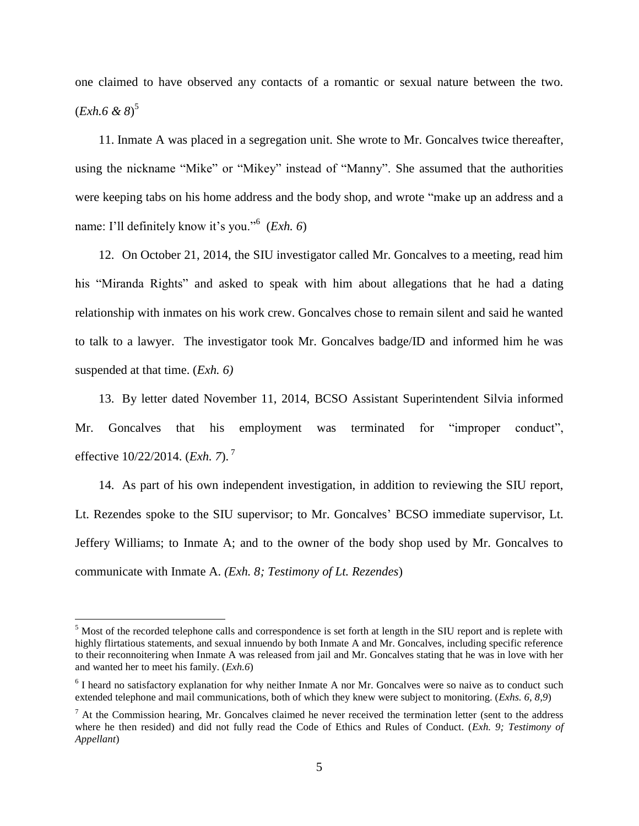one claimed to have observed any contacts of a romantic or sexual nature between the two. (*Exh.6 & 8*) 5

11. Inmate A was placed in a segregation unit. She wrote to Mr. Goncalves twice thereafter, using the nickname "Mike" or "Mikey" instead of "Manny". She assumed that the authorities were keeping tabs on his home address and the body shop, and wrote "make up an address and a name: I'll definitely know it's you."<sup>6</sup> (*Exh. 6*)

12. On October 21, 2014, the SIU investigator called Mr. Goncalves to a meeting, read him his "Miranda Rights" and asked to speak with him about allegations that he had a dating relationship with inmates on his work crew. Goncalves chose to remain silent and said he wanted to talk to a lawyer. The investigator took Mr. Goncalves badge/ID and informed him he was suspended at that time. (*Exh. 6)*

13. By letter dated November 11, 2014, BCSO Assistant Superintendent Silvia informed Mr. Goncalves that his employment was terminated for "improper conduct", effective 10/22/2014. (*Exh. 7*). <sup>7</sup>

14. As part of his own independent investigation, in addition to reviewing the SIU report, Lt. Rezendes spoke to the SIU supervisor; to Mr. Goncalves' BCSO immediate supervisor, Lt. Jeffery Williams; to Inmate A; and to the owner of the body shop used by Mr. Goncalves to communicate with Inmate A. *(Exh. 8; Testimony of Lt. Rezendes*)

<sup>&</sup>lt;sup>5</sup> Most of the recorded telephone calls and correspondence is set forth at length in the SIU report and is replete with highly flirtatious statements, and sexual innuendo by both Inmate A and Mr. Goncalves, including specific reference to their reconnoitering when Inmate A was released from jail and Mr. Goncalves stating that he was in love with her and wanted her to meet his family. (*Exh.6*)

<sup>&</sup>lt;sup>6</sup> I heard no satisfactory explanation for why neither Inmate A nor Mr. Goncalves were so naive as to conduct such extended telephone and mail communications, both of which they knew were subject to monitoring. (*Exhs. 6, 8,9*)

 $<sup>7</sup>$  At the Commission hearing, Mr. Goncalves claimed he never received the termination letter (sent to the address</sup> where he then resided) and did not fully read the Code of Ethics and Rules of Conduct. (*Exh. 9; Testimony of Appellant*)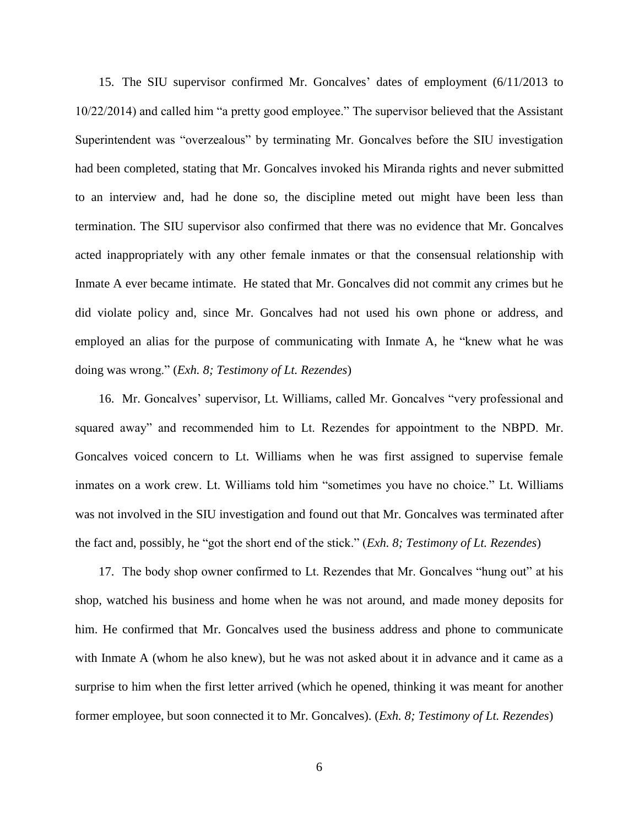15. The SIU supervisor confirmed Mr. Goncalves' dates of employment (6/11/2013 to 10/22/2014) and called him "a pretty good employee." The supervisor believed that the Assistant Superintendent was "overzealous" by terminating Mr. Goncalves before the SIU investigation had been completed, stating that Mr. Goncalves invoked his Miranda rights and never submitted to an interview and, had he done so, the discipline meted out might have been less than termination. The SIU supervisor also confirmed that there was no evidence that Mr. Goncalves acted inappropriately with any other female inmates or that the consensual relationship with Inmate A ever became intimate. He stated that Mr. Goncalves did not commit any crimes but he did violate policy and, since Mr. Goncalves had not used his own phone or address, and employed an alias for the purpose of communicating with Inmate A, he "knew what he was doing was wrong." (*Exh. 8; Testimony of Lt. Rezendes*)

16. Mr. Goncalves' supervisor, Lt. Williams, called Mr. Goncalves "very professional and squared away" and recommended him to Lt. Rezendes for appointment to the NBPD. Mr. Goncalves voiced concern to Lt. Williams when he was first assigned to supervise female inmates on a work crew. Lt. Williams told him "sometimes you have no choice." Lt. Williams was not involved in the SIU investigation and found out that Mr. Goncalves was terminated after the fact and, possibly, he "got the short end of the stick." (*Exh. 8; Testimony of Lt. Rezendes*)

17. The body shop owner confirmed to Lt. Rezendes that Mr. Goncalves "hung out" at his shop, watched his business and home when he was not around, and made money deposits for him. He confirmed that Mr. Goncalves used the business address and phone to communicate with Inmate A (whom he also knew), but he was not asked about it in advance and it came as a surprise to him when the first letter arrived (which he opened, thinking it was meant for another former employee, but soon connected it to Mr. Goncalves). (*Exh. 8; Testimony of Lt. Rezendes*)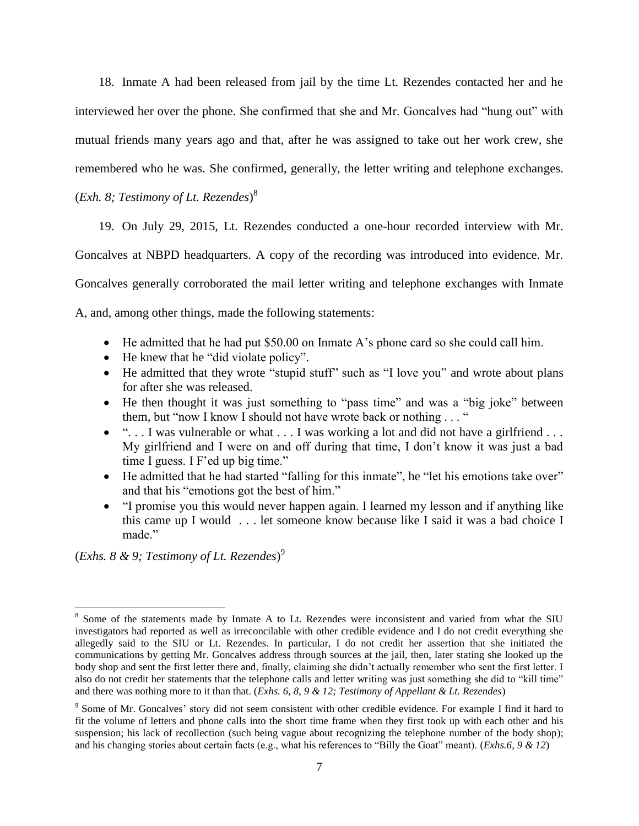18. Inmate A had been released from jail by the time Lt. Rezendes contacted her and he interviewed her over the phone. She confirmed that she and Mr. Goncalves had "hung out" with mutual friends many years ago and that, after he was assigned to take out her work crew, she remembered who he was. She confirmed, generally, the letter writing and telephone exchanges.

(*Exh. 8; Testimony of Lt. Rezendes*) 8

19. On July 29, 2015, Lt. Rezendes conducted a one-hour recorded interview with Mr.

Goncalves at NBPD headquarters. A copy of the recording was introduced into evidence. Mr.

Goncalves generally corroborated the mail letter writing and telephone exchanges with Inmate

A, and, among other things, made the following statements:

- He admitted that he had put \$50.00 on Inmate A's phone card so she could call him.
- He knew that he "did violate policy".
- He admitted that they wrote "stupid stuff" such as "I love you" and wrote about plans for after she was released.
- He then thought it was just something to "pass time" and was a "big joke" between them, but "now I know I should not have wrote back or nothing . . . "
- "... I was vulnerable or what ... I was working a lot and did not have a girlfriend ... My girlfriend and I were on and off during that time, I don't know it was just a bad time I guess. I F'ed up big time."
- He admitted that he had started "falling for this inmate", he "let his emotions take over" and that his "emotions got the best of him."
- "I promise you this would never happen again. I learned my lesson and if anything like this came up I would . . . let someone know because like I said it was a bad choice I made."

(*Exhs. 8 & 9; Testimony of Lt. Rezendes*) 9

<sup>&</sup>lt;sup>8</sup> Some of the statements made by Inmate A to Lt. Rezendes were inconsistent and varied from what the SIU investigators had reported as well as irreconcilable with other credible evidence and I do not credit everything she allegedly said to the SIU or Lt. Rezendes. In particular, I do not credit her assertion that she initiated the communications by getting Mr. Goncalves address through sources at the jail, then, later stating she looked up the body shop and sent the first letter there and, finally, claiming she didn't actually remember who sent the first letter. I also do not credit her statements that the telephone calls and letter writing was just something she did to "kill time" and there was nothing more to it than that. (*Exhs. 6, 8, 9 & 12; Testimony of Appellant & Lt. Rezendes*)

<sup>&</sup>lt;sup>9</sup> Some of Mr. Goncalves' story did not seem consistent with other credible evidence. For example I find it hard to fit the volume of letters and phone calls into the short time frame when they first took up with each other and his suspension; his lack of recollection (such being vague about recognizing the telephone number of the body shop); and his changing stories about certain facts (e.g., what his references to "Billy the Goat" meant). (*Exhs.6, 9 & 12*)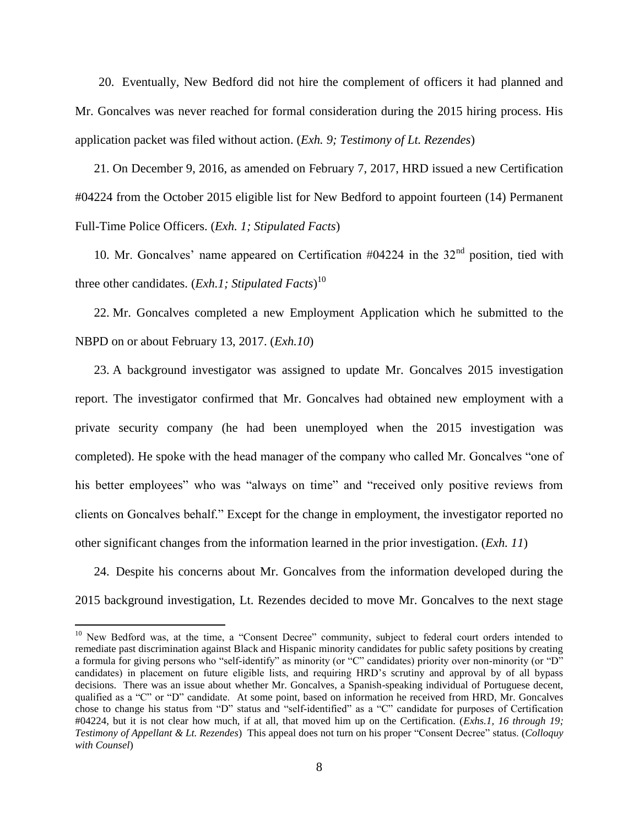20. Eventually, New Bedford did not hire the complement of officers it had planned and Mr. Goncalves was never reached for formal consideration during the 2015 hiring process. His application packet was filed without action. (*Exh. 9; Testimony of Lt. Rezendes*)

21. On December 9, 2016, as amended on February 7, 2017, HRD issued a new Certification #04224 from the October 2015 eligible list for New Bedford to appoint fourteen (14) Permanent Full-Time Police Officers. (*Exh. 1; Stipulated Facts*)

10. Mr. Goncalves' name appeared on Certification  $\#04224$  in the  $32<sup>nd</sup>$  position, tied with three other candidates. (*Exh.1; Stipulated Facts*) 10

22. Mr. Goncalves completed a new Employment Application which he submitted to the NBPD on or about February 13, 2017. (*Exh.10*)

23. A background investigator was assigned to update Mr. Goncalves 2015 investigation report. The investigator confirmed that Mr. Goncalves had obtained new employment with a private security company (he had been unemployed when the 2015 investigation was completed). He spoke with the head manager of the company who called Mr. Goncalves "one of his better employees" who was "always on time" and "received only positive reviews from clients on Goncalves behalf." Except for the change in employment, the investigator reported no other significant changes from the information learned in the prior investigation. (*Exh. 11*)

24. Despite his concerns about Mr. Goncalves from the information developed during the 2015 background investigation, Lt. Rezendes decided to move Mr. Goncalves to the next stage

<sup>&</sup>lt;sup>10</sup> New Bedford was, at the time, a "Consent Decree" community, subject to federal court orders intended to remediate past discrimination against Black and Hispanic minority candidates for public safety positions by creating a formula for giving persons who "self-identify" as minority (or "C" candidates) priority over non-minority (or "D" candidates) in placement on future eligible lists, and requiring HRD's scrutiny and approval by of all bypass decisions. There was an issue about whether Mr. Goncalves, a Spanish-speaking individual of Portuguese decent, qualified as a "C" or "D" candidate. At some point, based on information he received from HRD, Mr. Goncalves chose to change his status from "D" status and "self-identified" as a "C" candidate for purposes of Certification #04224, but it is not clear how much, if at all, that moved him up on the Certification. (*Exhs.1, 16 through 19; Testimony of Appellant & Lt. Rezendes*) This appeal does not turn on his proper "Consent Decree" status. (*Colloquy with Counsel*)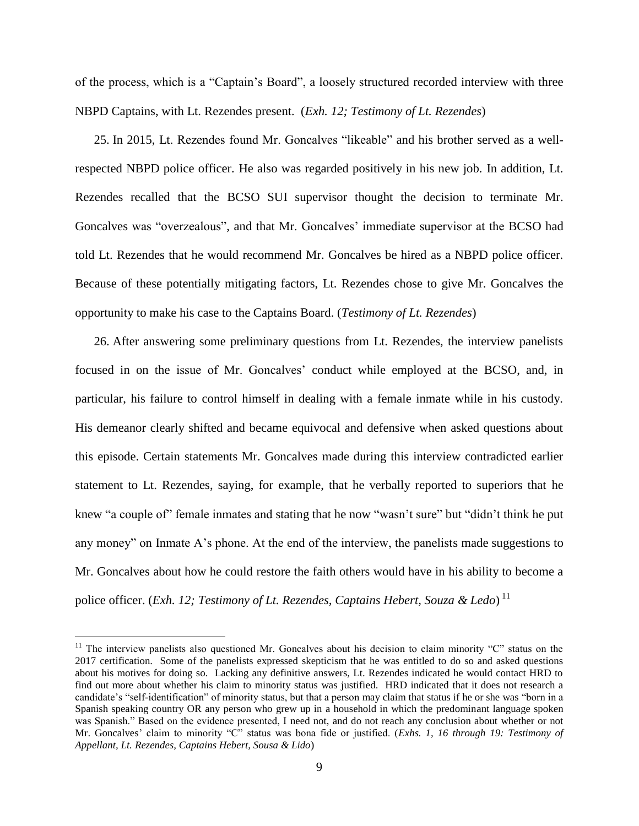of the process, which is a "Captain's Board", a loosely structured recorded interview with three NBPD Captains, with Lt. Rezendes present. (*Exh. 12; Testimony of Lt. Rezendes*)

25. In 2015, Lt. Rezendes found Mr. Goncalves "likeable" and his brother served as a wellrespected NBPD police officer. He also was regarded positively in his new job. In addition, Lt. Rezendes recalled that the BCSO SUI supervisor thought the decision to terminate Mr. Goncalves was "overzealous", and that Mr. Goncalves' immediate supervisor at the BCSO had told Lt. Rezendes that he would recommend Mr. Goncalves be hired as a NBPD police officer. Because of these potentially mitigating factors, Lt. Rezendes chose to give Mr. Goncalves the opportunity to make his case to the Captains Board. (*Testimony of Lt. Rezendes*)

26. After answering some preliminary questions from Lt. Rezendes, the interview panelists focused in on the issue of Mr. Goncalves' conduct while employed at the BCSO, and, in particular, his failure to control himself in dealing with a female inmate while in his custody. His demeanor clearly shifted and became equivocal and defensive when asked questions about this episode. Certain statements Mr. Goncalves made during this interview contradicted earlier statement to Lt. Rezendes, saying, for example, that he verbally reported to superiors that he knew "a couple of" female inmates and stating that he now "wasn't sure" but "didn't think he put any money" on Inmate A's phone. At the end of the interview, the panelists made suggestions to Mr. Goncalves about how he could restore the faith others would have in his ability to become a police officer. (*Exh. 12; Testimony of Lt. Rezendes, Captains Hebert, Souza & Ledo*) 11

 $11$  The interview panelists also questioned Mr. Goncalves about his decision to claim minority "C" status on the 2017 certification. Some of the panelists expressed skepticism that he was entitled to do so and asked questions about his motives for doing so. Lacking any definitive answers, Lt. Rezendes indicated he would contact HRD to find out more about whether his claim to minority status was justified. HRD indicated that it does not research a candidate's "self-identification" of minority status, but that a person may claim that status if he or she was "born in a Spanish speaking country OR any person who grew up in a household in which the predominant language spoken was Spanish." Based on the evidence presented, I need not, and do not reach any conclusion about whether or not Mr. Goncalves' claim to minority "C" status was bona fide or justified. (*Exhs. 1, 16 through 19: Testimony of Appellant, Lt. Rezendes, Captains Hebert, Sousa & Lido*)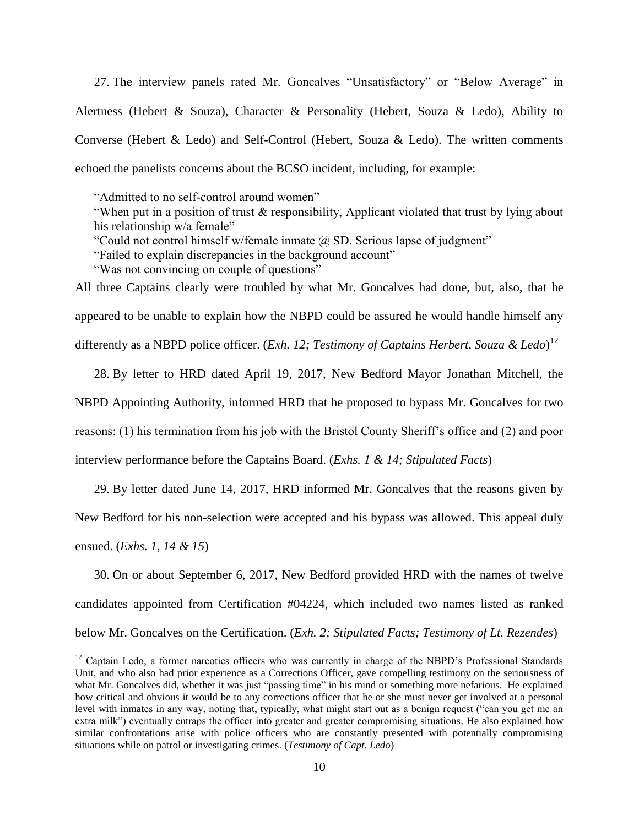27. The interview panels rated Mr. Goncalves "Unsatisfactory" or "Below Average" in Alertness (Hebert & Souza), Character & Personality (Hebert, Souza & Ledo), Ability to Converse (Hebert & Ledo) and Self-Control (Hebert, Souza & Ledo). The written comments echoed the panelists concerns about the BCSO incident, including, for example:

"Admitted to no self-control around women"

"When put in a position of trust & responsibility, Applicant violated that trust by lying about his relationship w/a female"

"Could not control himself w/female inmate @ SD. Serious lapse of judgment"

"Failed to explain discrepancies in the background account"

"Was not convincing on couple of questions"

 $\overline{a}$ 

All three Captains clearly were troubled by what Mr. Goncalves had done, but, also, that he appeared to be unable to explain how the NBPD could be assured he would handle himself any differently as a NBPD police officer. (*Exh. 12; Testimony of Captains Herbert, Souza & Ledo*) 12

28. By letter to HRD dated April 19, 2017, New Bedford Mayor Jonathan Mitchell, the NBPD Appointing Authority, informed HRD that he proposed to bypass Mr. Goncalves for two reasons: (1) his termination from his job with the Bristol County Sheriff's office and (2) and poor interview performance before the Captains Board. (*Exhs. 1 & 14; Stipulated Facts*)

29. By letter dated June 14, 2017, HRD informed Mr. Goncalves that the reasons given by New Bedford for his non-selection were accepted and his bypass was allowed. This appeal duly ensued. (*Exhs. 1, 14 & 15*)

30. On or about September 6, 2017, New Bedford provided HRD with the names of twelve candidates appointed from Certification #04224, which included two names listed as ranked below Mr. Goncalves on the Certification. (*Exh. 2; Stipulated Facts; Testimony of Lt. Rezendes*)

<sup>&</sup>lt;sup>12</sup> Captain Ledo, a former narcotics officers who was currently in charge of the NBPD's Professional Standards Unit, and who also had prior experience as a Corrections Officer, gave compelling testimony on the seriousness of what Mr. Goncalves did, whether it was just "passing time" in his mind or something more nefarious. He explained how critical and obvious it would be to any corrections officer that he or she must never get involved at a personal level with inmates in any way, noting that, typically, what might start out as a benign request ("can you get me an extra milk") eventually entraps the officer into greater and greater compromising situations. He also explained how similar confrontations arise with police officers who are constantly presented with potentially compromising situations while on patrol or investigating crimes. (*Testimony of Capt. Ledo*)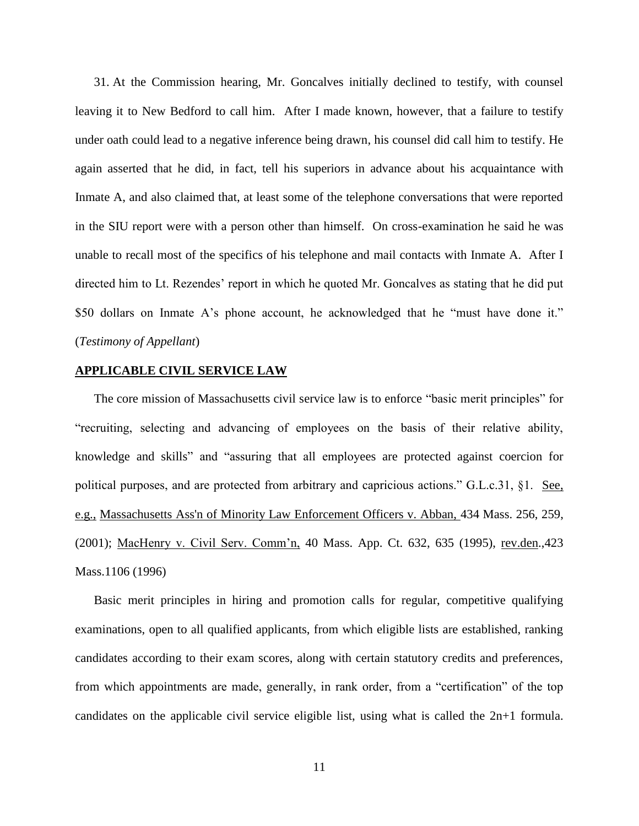31. At the Commission hearing, Mr. Goncalves initially declined to testify, with counsel leaving it to New Bedford to call him. After I made known, however, that a failure to testify under oath could lead to a negative inference being drawn, his counsel did call him to testify. He again asserted that he did, in fact, tell his superiors in advance about his acquaintance with Inmate A, and also claimed that, at least some of the telephone conversations that were reported in the SIU report were with a person other than himself. On cross-examination he said he was unable to recall most of the specifics of his telephone and mail contacts with Inmate A. After I directed him to Lt. Rezendes' report in which he quoted Mr. Goncalves as stating that he did put \$50 dollars on Inmate A's phone account, he acknowledged that he "must have done it." (*Testimony of Appellant*)

#### **APPLICABLE CIVIL SERVICE LAW**

The core mission of Massachusetts civil service law is to enforce "basic merit principles" for "recruiting, selecting and advancing of employees on the basis of their relative ability, knowledge and skills" and "assuring that all employees are protected against coercion for political purposes, and are protected from arbitrary and capricious actions." G.L.c.31, §1. See, e.g., [Massachusetts Ass'n of Minority Law Enforcement Officers v. Abban,](http://web2.westlaw.com/find/default.wl?mt=Massachusetts&db=578&rs=WLW15.04&tc=-1&rp=%2ffind%2fdefault.wl&findtype=Y&ordoc=2029136022&serialnum=2001441097&vr=2.0&fn=_top&sv=Split&tf=-1&pbc=70F732C1&utid=1) 434 Mass. 256, 259, [\(2001\);](http://web2.westlaw.com/find/default.wl?mt=Massachusetts&db=578&rs=WLW15.04&tc=-1&rp=%2ffind%2fdefault.wl&findtype=Y&ordoc=2029136022&serialnum=2001441097&vr=2.0&fn=_top&sv=Split&tf=-1&pbc=70F732C1&utid=1) MacHenry v. Civil Serv. Comm'n, 40 Mass. App. Ct. 632, 635 (1995), rev.den.,423 Mass.1106 (1996)

Basic merit principles in hiring and promotion calls for regular, competitive qualifying examinations, open to all qualified applicants, from which eligible lists are established, ranking candidates according to their exam scores, along with certain statutory credits and preferences, from which appointments are made, generally, in rank order, from a "certification" of the top candidates on the applicable civil service eligible list, using what is called the 2n+1 formula.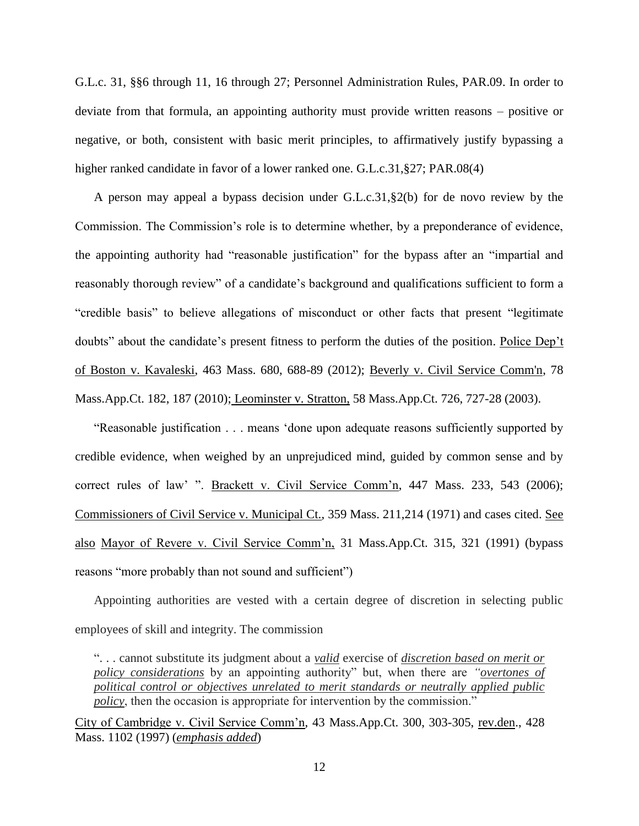G.L.c. 31, §§6 through 11, 16 through 27; Personnel Administration Rules, PAR.09. In order to deviate from that formula, an appointing authority must provide written reasons – positive or negative, or both, consistent with basic merit principles, to affirmatively justify bypassing a higher ranked candidate in favor of a lower ranked one. G.L.c.31,§27; PAR.08(4)

A person may appeal a bypass decision under G.L.c.31,§2(b) for de novo review by the Commission. The Commission's role is to determine whether, by a preponderance of evidence, the appointing authority had "reasonable justification" for the bypass after an "impartial and reasonably thorough review" of a candidate's background and qualifications sufficient to form a "credible basis" to believe allegations of misconduct or other facts that present "legitimate doubts" about the candidate's present fitness to perform the duties of the position. Police Dep't of Boston v. Kavaleski, 463 Mass. 680, 688-89 (2012); [Beverly v. Civil Service Comm'n, 78](http://web2.westlaw.com/find/default.wl?mt=Massachusetts&db=578&rs=WLW15.04&tc=-1&rp=%2ffind%2fdefault.wl&findtype=Y&ordoc=2029136022&serialnum=2023501172&vr=2.0&fn=_top&sv=Split&tf=-1&pbc=70F732C1&utid=1)  [Mass.App.Ct. 182, 187 \(2010\);](http://web2.westlaw.com/find/default.wl?mt=Massachusetts&db=578&rs=WLW15.04&tc=-1&rp=%2ffind%2fdefault.wl&findtype=Y&ordoc=2029136022&serialnum=2023501172&vr=2.0&fn=_top&sv=Split&tf=-1&pbc=70F732C1&utid=1) Leominster v. Stratton, 58 Mass.App.Ct. 726, 727-28 (2003).

"Reasonable justification . . . means 'done upon adequate reasons sufficiently supported by credible evidence, when weighed by an unprejudiced mind, guided by common sense and by correct rules of law' ". Brackett v. Civil Service Comm'n, 447 Mass. 233, 543 (2006); Commissioners of Civil Service v. Municipal Ct., 359 Mass. 211,214 (1971) and cases cited. See also Mayor of Revere v. Civil Service Comm'n, 31 Mass.App.Ct. 315, 321 (1991) (bypass reasons "more probably than not sound and sufficient")

Appointing authorities are vested with a certain degree of discretion in selecting public employees of skill and integrity. The commission

". . . cannot substitute its judgment about a *valid* exercise of *discretion based on merit or policy considerations* by an appointing authority" but, when there are *"overtones of political control or objectives unrelated to merit standards or neutrally applied public policy*, then the occasion is appropriate for intervention by the commission."

City of Cambridge v. Civil Service Comm'n, 43 Mass.App.Ct. 300, 303-305, rev.den., 428 Mass. 1102 (1997) (*emphasis added*)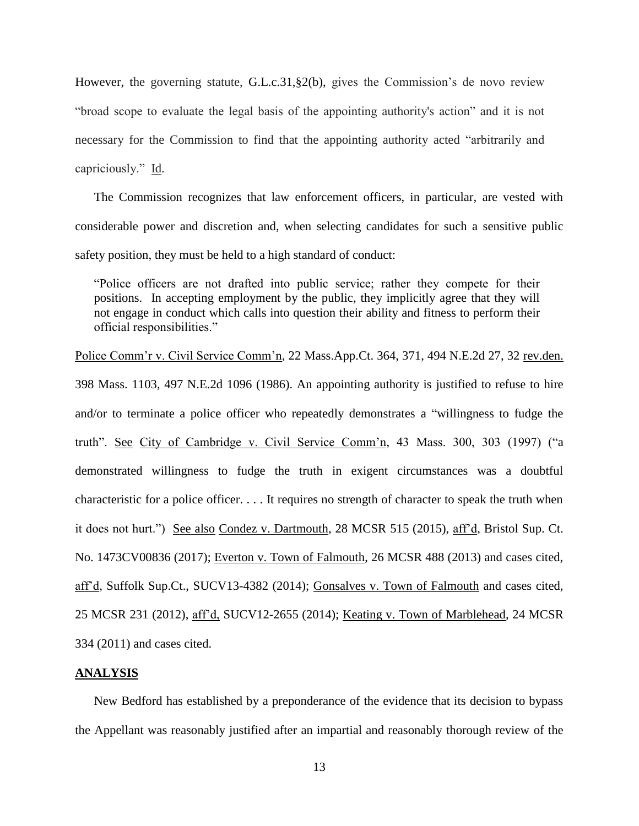However, the governing statute, [G.L.c.31,§2\(b\),](https://1.next.westlaw.com/Link/Document/FullText?findType=L&pubNum=1000042&cite=MAST31S2&originatingDoc=Ib21af0ded3bd11d99439b076ef9ec4de&refType=LQ&originationContext=document&transitionType=DocumentItem&contextData=(sc.History*oc.UserEnteredCitation)) gives the Commission's de novo review "broad scope to evaluate the legal basis of the appointing authority's action" and it is not necessary for the Commission to find that the appointing authority acted "arbitrarily and capriciously." Id.

The Commission recognizes that law enforcement officers, in particular, are vested with considerable power and discretion and, when selecting candidates for such a sensitive public safety position, they must be held to a high standard of conduct:

"Police officers are not drafted into public service; rather they compete for their positions. In accepting employment by the public, they implicitly agree that they will not engage in conduct which calls into question their ability and fitness to perform their official responsibilities."

Police Comm'r v. Civil Service Comm'n, 22 Mass.App.Ct. 364, 371, 494 N.E.2d 27, 32 rev.den. 398 Mass. 1103, 497 N.E.2d 1096 (1986). An appointing authority is justified to refuse to hire and/or to terminate a police officer who repeatedly demonstrates a "willingness to fudge the truth". See City of Cambridge v. Civil Service Comm'n, 43 Mass. 300, 303 (1997) ("a demonstrated willingness to fudge the truth in exigent circumstances was a doubtful characteristic for a police officer. . . . It requires no strength of character to speak the truth when it does not hurt.") See also Condez v. Dartmouth, 28 MCSR 515 (2015), aff'd, Bristol Sup. Ct. No. 1473CV00836 (2017); Everton v. Town of Falmouth, 26 MCSR 488 (2013) and cases cited, aff'd, Suffolk Sup.Ct., SUCV13-4382 (2014); Gonsalves v. Town of Falmouth and cases cited, 25 MCSR 231 (2012), aff'd, SUCV12-2655 (2014); Keating v. Town of Marblehead, 24 MCSR 334 (2011) and cases cited.

### **ANALYSIS**

New Bedford has established by a preponderance of the evidence that its decision to bypass the Appellant was reasonably justified after an impartial and reasonably thorough review of the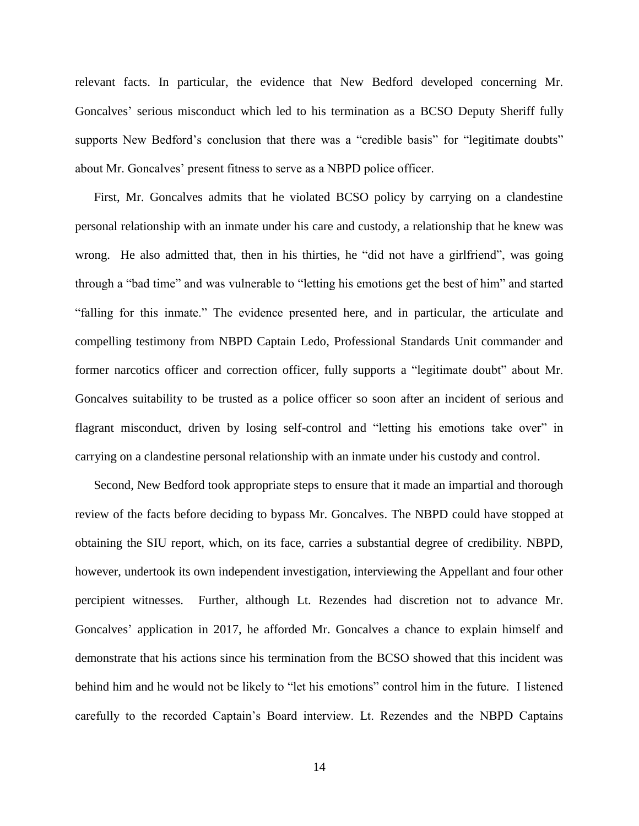relevant facts. In particular, the evidence that New Bedford developed concerning Mr. Goncalves' serious misconduct which led to his termination as a BCSO Deputy Sheriff fully supports New Bedford's conclusion that there was a "credible basis" for "legitimate doubts" about Mr. Goncalves' present fitness to serve as a NBPD police officer.

First, Mr. Goncalves admits that he violated BCSO policy by carrying on a clandestine personal relationship with an inmate under his care and custody, a relationship that he knew was wrong. He also admitted that, then in his thirties, he "did not have a girlfriend", was going through a "bad time" and was vulnerable to "letting his emotions get the best of him" and started "falling for this inmate." The evidence presented here, and in particular, the articulate and compelling testimony from NBPD Captain Ledo, Professional Standards Unit commander and former narcotics officer and correction officer, fully supports a "legitimate doubt" about Mr. Goncalves suitability to be trusted as a police officer so soon after an incident of serious and flagrant misconduct, driven by losing self-control and "letting his emotions take over" in carrying on a clandestine personal relationship with an inmate under his custody and control.

Second, New Bedford took appropriate steps to ensure that it made an impartial and thorough review of the facts before deciding to bypass Mr. Goncalves. The NBPD could have stopped at obtaining the SIU report, which, on its face, carries a substantial degree of credibility. NBPD, however, undertook its own independent investigation, interviewing the Appellant and four other percipient witnesses. Further, although Lt. Rezendes had discretion not to advance Mr. Goncalves' application in 2017, he afforded Mr. Goncalves a chance to explain himself and demonstrate that his actions since his termination from the BCSO showed that this incident was behind him and he would not be likely to "let his emotions" control him in the future. I listened carefully to the recorded Captain's Board interview. Lt. Rezendes and the NBPD Captains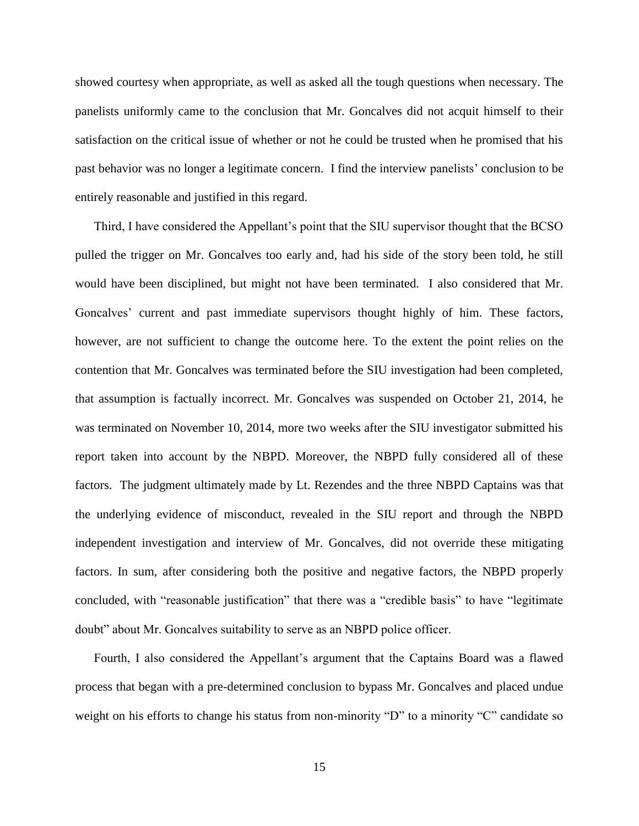showed courtesy when appropriate, as well as asked all the tough questions when necessary. The panelists uniformly came to the conclusion that Mr. Goncalves did not acquit himself to their satisfaction on the critical issue of whether or not he could be trusted when he promised that his past behavior was no longer a legitimate concern. I find the interview panelists' conclusion to be entirely reasonable and justified in this regard.

Third, I have considered the Appellant's point that the SIU supervisor thought that the BCSO pulled the trigger on Mr. Goncalves too early and, had his side of the story been told, he still would have been disciplined, but might not have been terminated. I also considered that Mr. Goncalves' current and past immediate supervisors thought highly of him. These factors, however, are not sufficient to change the outcome here. To the extent the point relies on the contention that Mr. Goncalves was terminated before the SIU investigation had been completed, that assumption is factually incorrect. Mr. Goncalves was suspended on October 21, 2014, he was terminated on November 10, 2014, more two weeks after the SIU investigator submitted his report taken into account by the NBPD. Moreover, the NBPD fully considered all of these factors. The judgment ultimately made by Lt. Rezendes and the three NBPD Captains was that the underlying evidence of misconduct, revealed in the SIU report and through the NBPD independent investigation and interview of Mr. Goncalves, did not override these mitigating factors. In sum, after considering both the positive and negative factors, the NBPD properly concluded, with "reasonable justification" that there was a "credible basis" to have "legitimate doubt" about Mr. Goncalves suitability to serve as an NBPD police officer.

Fourth, I also considered the Appellant's argument that the Captains Board was a flawed process that began with a pre-determined conclusion to bypass Mr. Goncalves and placed undue weight on his efforts to change his status from non-minority "D" to a minority "C" candidate so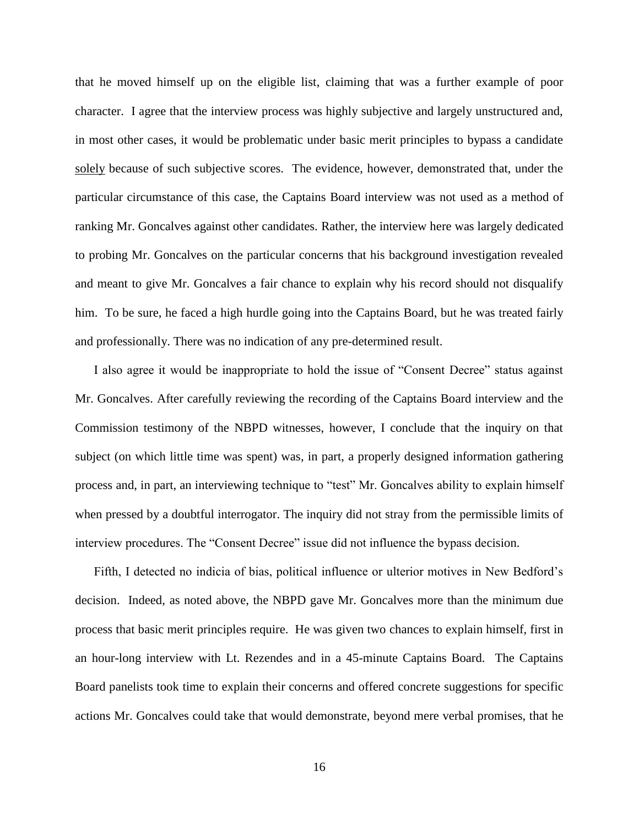that he moved himself up on the eligible list, claiming that was a further example of poor character. I agree that the interview process was highly subjective and largely unstructured and, in most other cases, it would be problematic under basic merit principles to bypass a candidate solely because of such subjective scores. The evidence, however, demonstrated that, under the particular circumstance of this case, the Captains Board interview was not used as a method of ranking Mr. Goncalves against other candidates. Rather, the interview here was largely dedicated to probing Mr. Goncalves on the particular concerns that his background investigation revealed and meant to give Mr. Goncalves a fair chance to explain why his record should not disqualify him. To be sure, he faced a high hurdle going into the Captains Board, but he was treated fairly and professionally. There was no indication of any pre-determined result.

I also agree it would be inappropriate to hold the issue of "Consent Decree" status against Mr. Goncalves. After carefully reviewing the recording of the Captains Board interview and the Commission testimony of the NBPD witnesses, however, I conclude that the inquiry on that subject (on which little time was spent) was, in part, a properly designed information gathering process and, in part, an interviewing technique to "test" Mr. Goncalves ability to explain himself when pressed by a doubtful interrogator. The inquiry did not stray from the permissible limits of interview procedures. The "Consent Decree" issue did not influence the bypass decision.

Fifth, I detected no indicia of bias, political influence or ulterior motives in New Bedford's decision. Indeed, as noted above, the NBPD gave Mr. Goncalves more than the minimum due process that basic merit principles require. He was given two chances to explain himself, first in an hour-long interview with Lt. Rezendes and in a 45-minute Captains Board. The Captains Board panelists took time to explain their concerns and offered concrete suggestions for specific actions Mr. Goncalves could take that would demonstrate, beyond mere verbal promises, that he